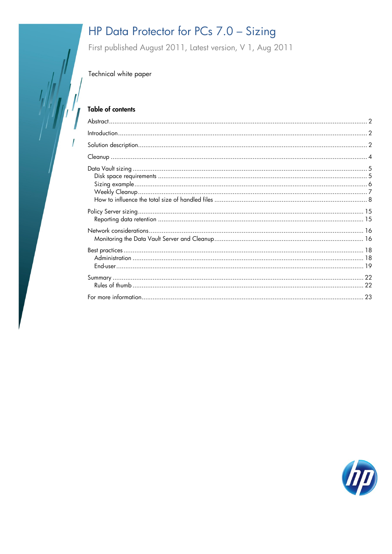# HP Data Protector for PCs 7.0 - Sizing

First published August 2011, Latest version, V 1, Aug 2011

Technical white paper

### **Table of contents**

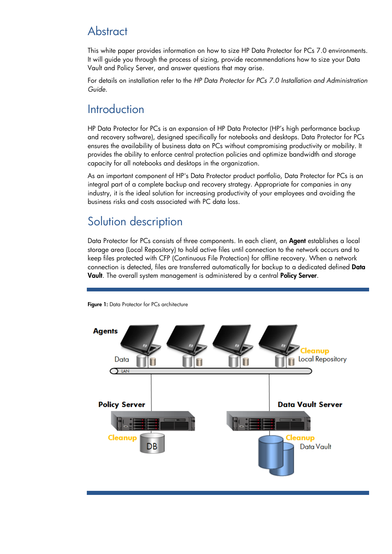# <span id="page-1-0"></span>**Abstract**

This white paper provides information on how to size HP Data Protector for PCs 7.0 environments. It will guide you through the process of sizing, provide recommendations how to size your Data Vault and Policy Server, and answer questions that may arise.

For details on installation refer to the *HP Data Protector for PCs 7.0 Installation and Administration Guide*.

## <span id="page-1-1"></span>**Introduction**

HP Data Protector for PCs is an expansion of HP Data Protector (HP's high performance backup and recovery software), designed specifically for notebooks and desktops. Data Protector for PCs ensures the availability of business data on PCs without compromising productivity or mobility. It provides the ability to enforce central protection policies and optimize bandwidth and storage capacity for all notebooks and desktops in the organization.

As an important component of HP's Data Protector product portfolio, Data Protector for PCs is an integral part of a complete backup and recovery strategy. Appropriate for companies in any industry, it is the ideal solution for increasing productivity of your employees and avoiding the business risks and costs associated with PC data loss.

# <span id="page-1-2"></span>Solution description

Data Protector for PCs consists of three components. In each client, an **Agent** establishes a local storage area (Local Repository) to hold active files until connection to the network occurs and to keep files protected with CFP (Continuous File Protection) for offline recovery. When a network connection is detected, files are transferred automatically for backup to a dedicated defined Data Vault. The overall system management is administered by a central Policy Server.



Figure 1: Data Protector for PCs architecture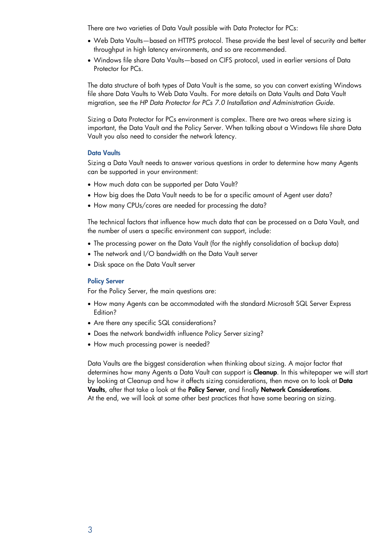There are two varieties of Data Vault possible with Data Protector for PCs:

- Web Data Vaults—based on HTTPS protocol. These provide the best level of security and better throughput in high latency environments, and so are recommended.
- Windows file share Data Vaults—based on CIFS protocol, used in earlier versions of Data Protector for PCs.

The data structure of both types of Data Vault is the same, so you can convert existing Windows file share Data Vaults to Web Data Vaults. For more details on Data Vaults and Data Vault migration, see the *HP Data Protector for PCs 7.0 Installation and Administration Guide*.

Sizing a Data Protector for PCs environment is complex. There are two areas where sizing is important, the Data Vault and the Policy Server. When talking about a Windows file share Data Vault you also need to consider the network latency.

#### Data Vaults

Sizing a Data Vault needs to answer various questions in order to determine how many Agents can be supported in your environment:

- How much data can be supported per Data Vault?
- How big does the Data Vault needs to be for a specific amount of Agent user data?
- How many CPUs/cores are needed for processing the data?

The technical factors that influence how much data that can be processed on a Data Vault, and the number of users a specific environment can support, include:

- The processing power on the Data Vault (for the nightly consolidation of backup data)
- The network and I/O bandwidth on the Data Vault server
- Disk space on the Data Vault server

#### Policy Server

For the Policy Server, the main questions are:

- How many Agents can be accommodated with the standard Microsoft SQL Server Express Edition?
- Are there any specific SQL considerations?
- Does the network bandwidth influence Policy Server sizing?
- How much processing power is needed?

Data Vaults are the biggest consideration when thinking about sizing. A major factor that determines how many Agents a Data Vault can support is Cleanup. In this whitepaper we will start by looking at Cleanup and how it affects sizing considerations, then move on to look at Data Vaults, after that take a look at the Policy Server, and finally Network Considerations. At the end, we will look at some other best practices that have some bearing on sizing.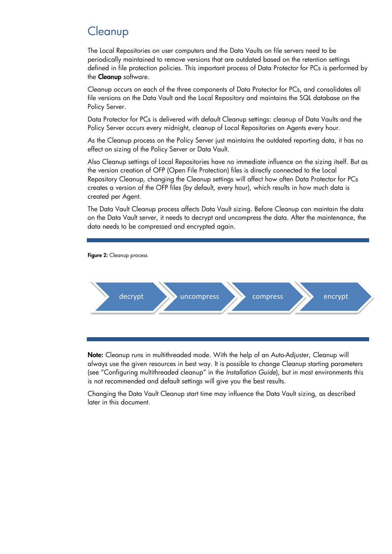# <span id="page-3-0"></span>**Cleanup**

The Local Repositories on user computers and the Data Vaults on file servers need to be periodically maintained to remove versions that are outdated based on the retention settings defined in file protection policies. This important process of Data Protector for PCs is performed by the **Cleanup** software.

Cleanup occurs on each of the three components of Data Protector for PCs, and consolidates all file versions on the Data Vault and the Local Repository and maintains the SQL database on the Policy Server.

Data Protector for PCs is delivered with default Cleanup settings: cleanup of Data Vaults and the Policy Server occurs every midnight, cleanup of Local Repositories on Agents every hour.

As the Cleanup process on the Policy Server just maintains the outdated reporting data, it has no effect on sizing of the Policy Server or Data Vault.

Also Cleanup settings of Local Repositories have no immediate influence on the sizing itself. But as the version creation of OFP (Open File Protection) files is directly connected to the Local Repository Cleanup, changing the Cleanup settings will affect how often Data Protector for PCs creates a version of the OFP files (by default, every hour), which results in how much data is created per Agent.

The Data Vault Cleanup process affects Data Vault sizing. Before Cleanup can maintain the data on the Data Vault server, it needs to decrypt and uncompress the data. After the maintenance, the data needs to be compressed and encrypted again.



Note: Cleanup runs in multithreaded mode. With the help of an Auto-Adjuster, Cleanup will always use the given resources in best way. It is possible to change Cleanup starting parameters (see "Configuring multithreaded cleanup" in the *Installation Guide*), but in most environments this is not recommended and default settings will give you the best results.

Changing the Data Vault Cleanup start time may influence the Data Vault sizing, as described later in this document.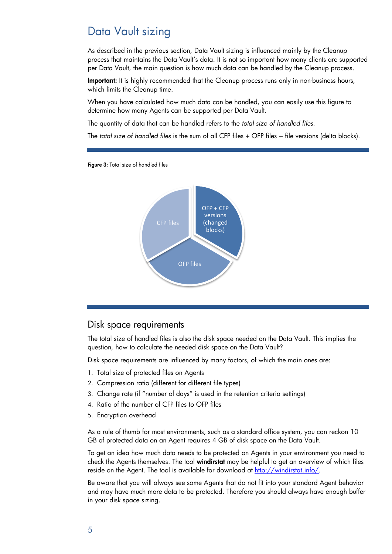## <span id="page-4-0"></span>Data Vault sizing

As described in the previous section, Data Vault sizing is influenced mainly by the Cleanup process that maintains the Data Vault's data. It is not so important how many clients are supported per Data Vault, the main question is how much data can be handled by the Cleanup process.

Important: It is highly recommended that the Cleanup process runs only in non-business hours, which limits the Cleanup time.

When you have calculated how much data can be handled, you can easily use this figure to determine how many Agents can be supported per Data Vault.

The quantity of data that can be handled refers to the *total size of handled files*.

The *total size of handled files* is the sum of all CFP files + OFP files + file versions (delta blocks).

Figure 3: Total size of handled files



### <span id="page-4-1"></span>Disk space requirements

The total size of handled files is also the disk space needed on the Data Vault. This implies the question, how to calculate the needed disk space on the Data Vault?

Disk space requirements are influenced by many factors, of which the main ones are:

- 1. Total size of protected files on Agents
- 2. Compression ratio (different for different file types)
- 3. Change rate (if "number of days" is used in the retention criteria settings)
- 4. Ratio of the number of CFP files to OFP files
- 5. Encryption overhead

As a rule of thumb for most environments, such as a standard office system, you can reckon 10 GB of protected data on an Agent requires 4 GB of disk space on the Data Vault.

To get an idea how much data needs to be protected on Agents in your environment you need to check the Agents themselves. The tool windirstat may be helpful to get an overview of which files reside on the Agent. The tool is available for download at [http://windirstat.info/.](http://windirstat.info/)

Be aware that you will always see some Agents that do not fit into your standard Agent behavior and may have much more data to be protected. Therefore you should always have enough buffer in your disk space sizing.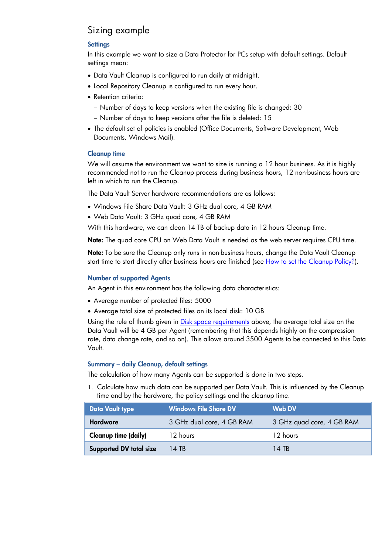### <span id="page-5-0"></span>Sizing example

### **Settings**

In this example we want to size a Data Protector for PCs setup with default settings. Default settings mean:

- Data Vault Cleanup is configured to run daily at midnight.
- Local Repository Cleanup is configured to run every hour.
- Retention criteria:
	- Number of days to keep versions when the existing file is changed: 30
	- Number of days to keep versions after the file is deleted: 15
- The default set of policies is enabled (Office Documents, Software Development, Web Documents, Windows Mail).

#### Cleanup time

We will assume the environment we want to size is running a 12 hour business. As it is highly recommended not to run the Cleanup process during business hours, 12 non-business hours are left in which to run the Cleanup.

The Data Vault Server hardware recommendations are as follows:

- Windows File Share Data Vault: 3 GHz dual core, 4 GB RAM
- Web Data Vault: 3 GHz quad core, 4 GB RAM

With this hardware, we can clean 14 TB of backup data in 12 hours Cleanup time.

Note: The quad core CPU on Web Data Vault is needed as the web server requires CPU time.

Note: To be sure the Cleanup only runs in non-business hours, change the Data Vault Cleanup start time to start directly after business hours are finished (see How to set the Cleanup Policy?).

#### Number of supported Agents

An Agent in this environment has the following data characteristics:

- Average number of protected files: 5000
- Average total size of protected files on its local disk: 10 GB

Using the rule of thumb given in Disk [space requirements](#page-4-1) above, the average total size on the Data Vault will be 4 GB per Agent (remembering that this depends highly on the compression rate, data change rate, and so on). This allows around 3500 Agents to be connected to this Data Vault.

#### Summary – daily Cleanup, default settings

The calculation of how many Agents can be supported is done in two steps.

1. Calculate how much data can be supported per Data Vault. This is influenced by the Cleanup time and by the hardware, the policy settings and the cleanup time.

| <b>Data Vault type</b>                       | <b>Windows File Share DV</b><br>Web DV |                           |
|----------------------------------------------|----------------------------------------|---------------------------|
| <b>Hardware</b><br>3 GHz dual core, 4 GB RAM |                                        | 3 GHz quad core, 4 GB RAM |
| Cleanup time (daily)                         | 12 hours                               | 12 hours                  |
| <b>Supported DV total size</b>               | 14 TB                                  | 14 TR                     |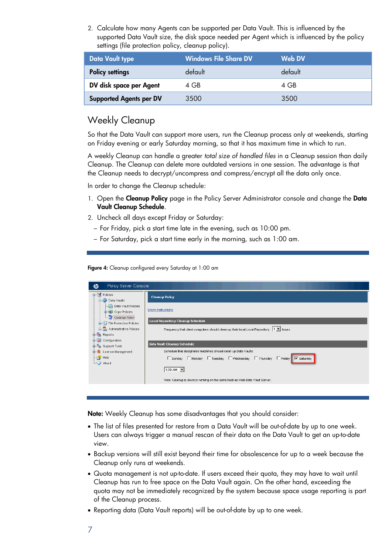2. Calculate how many Agents can be supported per Data Vault. This is influenced by the supported Data Vault size, the disk space needed per Agent which is influenced by the policy settings (file protection policy, cleanup policy).

| Data Vault type                | <b>Windows File Share DV</b> | Web DV  |
|--------------------------------|------------------------------|---------|
| <b>Policy settings</b>         | default                      | default |
| DV disk space per Agent        | 4 GB                         | 4 GB    |
| <b>Supported Agents per DV</b> | 3500                         | 3500    |

## <span id="page-6-0"></span>Weekly Cleanup

So that the Data Vault can support more users, run the Cleanup process only at weekends, starting on Friday evening or early Saturday morning, so that it has maximum time in which to run.

A weekly Cleanup can handle a greater *total size of handled files* in a Cleanup session than daily Cleanup. The Cleanup can delete more outdated versions in one session. The advantage is that the Cleanup needs to decrypt/uncompress and compress/encrypt all the data only once.

In order to change the Cleanup schedule:

- 1. Open the Cleanup Policy page in the Policy Server Administrator console and change the Data Vault Cleanup Schedule.
- 2. Uncheck all days except Friday or Saturday:
	- For Friday, pick a start time late in the evening, such as 10:00 pm.
	- For Saturday, pick a start time early in the morning, such as 1:00 am.

Figure 4: Cleanup configured every Saturday at 1:00 am

| $\boldsymbol{\phi}$<br>Policy Server Console                    |                                                                                                     |
|-----------------------------------------------------------------|-----------------------------------------------------------------------------------------------------|
| $\Box$ $\Box$ Policies<br><b>Data Vaults</b>                    | <b>Cleanup Policy</b>                                                                               |
| Data Vault Policies<br><b>E</b> Copy Policies<br>Cleanup Policy | Show instructions                                                                                   |
| File Protection Policies                                        | Local Repository Cleanup Schedule                                                                   |
| <b>E</b> Administrative Policies<br><b>ER</b> Reports           | Frequency that client computers should clean up their local Local Repository: $\boxed{1 - 1}$ hours |
| <b>E</b> Configuration                                          |                                                                                                     |
| <b>El</b> Support Tools                                         | Data Vault Cleanup Schedule                                                                         |
| <b>E. W</b> License Management                                  | Schedule that designated machines should clean up Data Vaults:                                      |
| $-\frac{2}{3}$ Help                                             | □ Sunday □ Monday □ Tuesday □ Wednesday □ Thursday □ Friday ■ M Saturday                            |
| $\Box$ About                                                    | 1:00 AM $\rightarrow$                                                                               |
|                                                                 | Note: Cleanup is always running on the same host as Web Data Vault Server.                          |
|                                                                 |                                                                                                     |

Note: Weekly Cleanup has some disadvantages that you should consider:

- The list of files presented for restore from a Data Vault will be out-of-date by up to one week. Users can always trigger a manual rescan of their data on the Data Vault to get an up-to-date view.
- Backup versions will still exist beyond their time for obsolescence for up to a week because the Cleanup only runs at weekends.
- Quota management is not up-to-date. If users exceed their quota, they may have to wait until Cleanup has run to free space on the Data Vault again. On the other hand, exceeding the quota may not be immediately recognized by the system because space usage reporting is part of the Cleanup process.
- Reporting data (Data Vault reports) will be out-of-date by up to one week.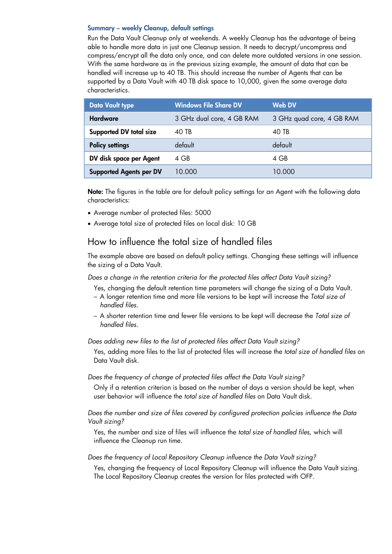#### Summary – weekly Cleanup, default settings

Run the Data Vault Cleanup only at weekends. A weekly Cleanup has the advantage of being able to handle more data in just one Cleanup session. It needs to decrypt/uncompress and compress/encrypt all the data only once, and can delete more outdated versions in one session. With the same hardware as in the previous sizing example, the amount of data that can be handled will increase up to 40 TB. This should increase the number of Agents that can be supported by a Data Vault with 40 TB disk space to 10,000, given the same average data characteristics.

| <b>Data Vault type</b>         | <b>Windows File Share DV</b> | <b>Web DV</b>             |
|--------------------------------|------------------------------|---------------------------|
| <b>Hardware</b>                | 3 GHz dual core, 4 GB RAM    | 3 GHz quad core, 4 GB RAM |
| <b>Supported DV total size</b> | 40 TB                        | 40 TB                     |
| <b>Policy settings</b>         | default                      | default                   |
| DV disk space per Agent        | 4 GB                         | 4 GB                      |
| <b>Supported Agents per DV</b> | 10.000                       | 10.000                    |

Note: The figures in the table are for default policy settings for an Agent with the following data characteristics:

- Average number of protected files: 5000
- Average total size of protected files on local disk: 10 GB

### <span id="page-7-0"></span>How to influence the total size of handled files

The example above are based on default policy settings. Changing these settings will influence the sizing of a Data Vault.

*Does a change in the retention criteria for the protected files affect Data Vault sizing?*

Yes, changing the default retention time parameters will change the sizing of a Data Vault.

- A longer retention time and more file versions to be kept will increase the *Total size of handled files*.
- A shorter retention time and fewer file versions to be kept will decrease the *Total size of handled files*.

*Does adding new files to the list of protected files affect Data Vault sizing?*

Yes, adding more files to the list of protected files will increase the *total size of handled files* on Data Vault disk.

*Does the frequency of change of protected files affect the Data Vault sizing?*

Only if a retention criterion is based on the number of days a version should be kept, when user behavior will influence the *total size of handled files* on Data Vault disk.

#### *Does the number and size of files covered by configured protection policies influence the Data Vault sizing?*

Yes, the number and size of files will influence the *total size of handled files*, which will influence the Cleanup run time.

*Does the frequency of Local Repository Cleanup influence the Data Vault sizing?*

Yes, changing the frequency of Local Repository Cleanup will influence the Data Vault sizing. The Local Repository Cleanup creates the version for files protected with OFP.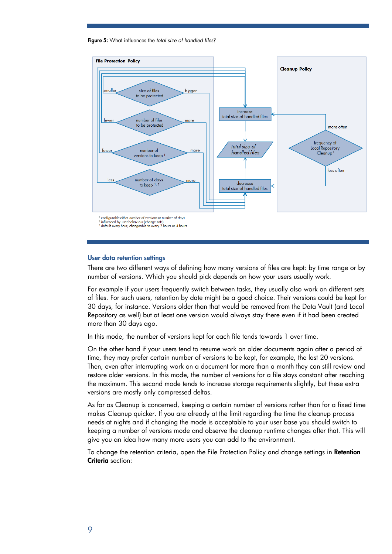Figure 5: What influences the *total size of handled files*?



#### User data retention settings

There are two different ways of defining how many versions of files are kept: by time range or by number of versions. Which you should pick depends on how your users usually work.

For example if your users frequently switch between tasks, they usually also work on different sets of files. For such users, retention by date might be a good choice. Their versions could be kept for 30 days, for instance. Versions older than that would be removed from the Data Vault (and Local Repository as well) but at least one version would always stay there even if it had been created more than 30 days ago.

In this mode, the number of versions kept for each file tends towards 1 over time.

On the other hand if your users tend to resume work on older documents again after a period of time, they may prefer certain number of versions to be kept, for example, the last 20 versions. Then, even after interrupting work on a document for more than a month they can still review and restore older versions. In this mode, the number of versions for a file stays constant after reaching the maximum. This second mode tends to increase storage requirements slightly, but these extra versions are mostly only compressed deltas.

As far as Cleanup is concerned, keeping a certain number of versions rather than for a fixed time makes Cleanup quicker. If you are already at the limit regarding the time the cleanup process needs at nights and if changing the mode is acceptable to your user base you should switch to keeping a number of versions mode and observe the cleanup runtime changes after that. This will give you an idea how many more users you can add to the environment.

To change the retention criteria, open the File Protection Policy and change settings in Retention Criteria section: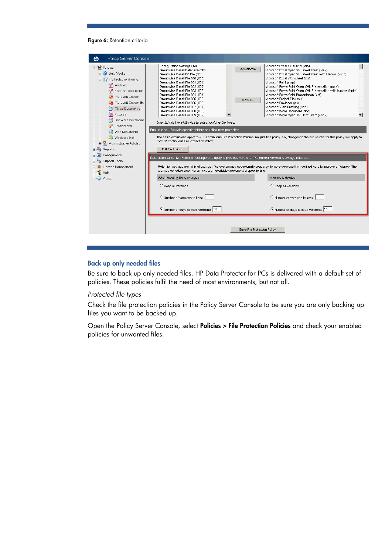#### Figure 6: Retention criteria

| Policy Server Console                                                                                                                                                                                                                                                                                |                                                                                                                                                                                                                                                                                                                                                                                                                                                                                                                                                                                                                                                                         |                                       |                                                                                                                                                                                                                                                                                                                                                                                                                                                                                                                                                                                                                                                                                                         |  |  |
|------------------------------------------------------------------------------------------------------------------------------------------------------------------------------------------------------------------------------------------------------------------------------------------------------|-------------------------------------------------------------------------------------------------------------------------------------------------------------------------------------------------------------------------------------------------------------------------------------------------------------------------------------------------------------------------------------------------------------------------------------------------------------------------------------------------------------------------------------------------------------------------------------------------------------------------------------------------------------------------|---------------------------------------|---------------------------------------------------------------------------------------------------------------------------------------------------------------------------------------------------------------------------------------------------------------------------------------------------------------------------------------------------------------------------------------------------------------------------------------------------------------------------------------------------------------------------------------------------------------------------------------------------------------------------------------------------------------------------------------------------------|--|--|
| 日 図 Policies<br><b>Data Vaults</b><br>白·式】 File Protection Policies<br>A Archives<br>Financial Documents<br>Microsoft Outlook<br>Microsoft Outlook Exp<br>Office Documents<br>Pictures<br>Software Developme<br>Thunderbird<br>Web Documents<br>Windows Mail<br><b>El-So</b> Administrative Policies | Configuration Settings (ini)<br>Groupwise E-mail Database (db)<br>Groupwise E-mail DC File (dc)<br>Groupwise E-mail File 000 (000)<br>Groupwise E-mail File 001 (001)<br>Groupwise E-mail File 002 (002)<br>Groupwise E-mail File 003 (003)<br>Groupwise E-mail File 004 (004)<br>Groupwise E-mail File 005 (005)<br>Groupwise E-mail File 006 (006)<br>Groupwise E-mail File 007 (007)<br>Groupwise E-mail File 008 (008)<br>Groupwise E-mail File 009 (009)<br>Use ctri-click or shift-click to select multiple file types.<br>Exclusions - Exclude specific folders and files from protection.<br>EVERY Continuous File Protection Policy.<br><b>Edit Exclusions</b> | < <remove<br>New &gt;&gt;</remove<br> | Microsoft Excel 4.0 Macro (xlm)<br>Microsoft Excel Open XML Worksheet (xlsx)<br>Microsoft Excel Open XML Worksheet with Macros (xlsm)<br>Microsoft Excel Worksheet (xls)<br>Microsoft Paint (msp)<br>Microsoft PowerPoint Open XML Presentation (pptx)<br>Microsoft PowerPoint Open XML Presentation with Macros (pptm)<br>Microsoft PowerPoint Presentation (ppt)<br>Microsoft Project File (mpp)<br>Microsoft Publisher (pub)<br>Microsoft Visio Drawing (vsd)<br>Microsoft Word Document (doc)<br>Microsoft Word Open XML Document (docx)<br>The same exclusions apply to ALL Continuous File Protection Policies, not just this policy. So, changes to the exclusions for this policy will apply to |  |  |
| Reports<br><b>E</b> Configuration                                                                                                                                                                                                                                                                    | Retention Criteria - Retention settings only apply to previous versions. The current version is always retained.                                                                                                                                                                                                                                                                                                                                                                                                                                                                                                                                                        |                                       |                                                                                                                                                                                                                                                                                                                                                                                                                                                                                                                                                                                                                                                                                                         |  |  |
| <b>El-Re</b> Support Tools<br>国 9 License Management<br>Help                                                                                                                                                                                                                                         | cleanup schedule also has an impact on available versions at a specific time.                                                                                                                                                                                                                                                                                                                                                                                                                                                                                                                                                                                           |                                       | Retention settings are minimal settings. The system may occasionally keep slightly more versions than defined here to improve efficiency. The                                                                                                                                                                                                                                                                                                                                                                                                                                                                                                                                                           |  |  |
| About                                                                                                                                                                                                                                                                                                | When existing file is changed                                                                                                                                                                                                                                                                                                                                                                                                                                                                                                                                                                                                                                           |                                       | After file is deleted                                                                                                                                                                                                                                                                                                                                                                                                                                                                                                                                                                                                                                                                                   |  |  |
|                                                                                                                                                                                                                                                                                                      | C Keep all versions                                                                                                                                                                                                                                                                                                                                                                                                                                                                                                                                                                                                                                                     |                                       | C Keep all versions                                                                                                                                                                                                                                                                                                                                                                                                                                                                                                                                                                                                                                                                                     |  |  |
|                                                                                                                                                                                                                                                                                                      | Number of versions to keep:                                                                                                                                                                                                                                                                                                                                                                                                                                                                                                                                                                                                                                             |                                       | Number of versions to keep:                                                                                                                                                                                                                                                                                                                                                                                                                                                                                                                                                                                                                                                                             |  |  |
|                                                                                                                                                                                                                                                                                                      | Number of days to keep versions: 30                                                                                                                                                                                                                                                                                                                                                                                                                                                                                                                                                                                                                                     |                                       | Number of days to keep versions: 15                                                                                                                                                                                                                                                                                                                                                                                                                                                                                                                                                                                                                                                                     |  |  |
|                                                                                                                                                                                                                                                                                                      |                                                                                                                                                                                                                                                                                                                                                                                                                                                                                                                                                                                                                                                                         | Save File Protection Policy           |                                                                                                                                                                                                                                                                                                                                                                                                                                                                                                                                                                                                                                                                                                         |  |  |

### Back up only needed files

Be sure to back up only needed files. HP Data Protector for PCs is delivered with a default set of policies. These policies fulfil the need of most environments, but not all.

#### *Protected file types*

Check the file protection policies in the Policy Server Console to be sure you are only backing up files you want to be backed up.

Open the Policy Server Console, select Policies > File Protection Policies and check your enabled policies for unwanted files.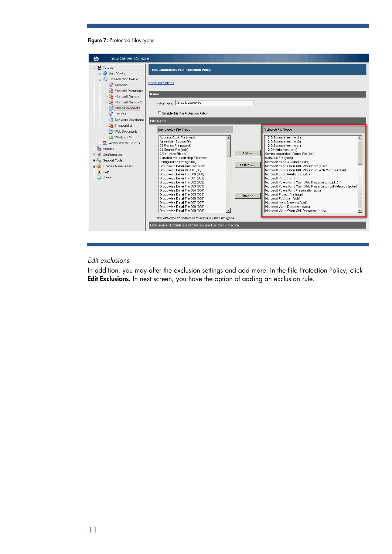#### Figure 7: Protected files types

| Policy Server Console<br><b>tD</b>                                                                                                                                                            |                                                                                                                                                                                                                                                                                                                                                                                                                                                                                                                                                                                                                                                                                                                                                                                                     |                                  |                                                                                                                                                                                                                                                                                                                                                                                                                                                                                                                                                                                                                                                                                                                                           |
|-----------------------------------------------------------------------------------------------------------------------------------------------------------------------------------------------|-----------------------------------------------------------------------------------------------------------------------------------------------------------------------------------------------------------------------------------------------------------------------------------------------------------------------------------------------------------------------------------------------------------------------------------------------------------------------------------------------------------------------------------------------------------------------------------------------------------------------------------------------------------------------------------------------------------------------------------------------------------------------------------------------------|----------------------------------|-------------------------------------------------------------------------------------------------------------------------------------------------------------------------------------------------------------------------------------------------------------------------------------------------------------------------------------------------------------------------------------------------------------------------------------------------------------------------------------------------------------------------------------------------------------------------------------------------------------------------------------------------------------------------------------------------------------------------------------------|
| 日 図 Policies<br><b>Ei-a</b> Data Vaults                                                                                                                                                       | <b>Edit Continuous File Protection Policy</b>                                                                                                                                                                                                                                                                                                                                                                                                                                                                                                                                                                                                                                                                                                                                                       |                                  |                                                                                                                                                                                                                                                                                                                                                                                                                                                                                                                                                                                                                                                                                                                                           |
| File Protection Policies<br>$\rightarrow$ Archives<br>Financial Documents<br>Microsoft Outlook<br>Microsoft Outlook Exp                                                                       | Show instructions<br>Name<br>Policy name Office Documents                                                                                                                                                                                                                                                                                                                                                                                                                                                                                                                                                                                                                                                                                                                                           |                                  |                                                                                                                                                                                                                                                                                                                                                                                                                                                                                                                                                                                                                                                                                                                                           |
| - no Office Documents<br>$\rightarrow$ Pictures                                                                                                                                               | □ Disable this File Protection Policy                                                                                                                                                                                                                                                                                                                                                                                                                                                                                                                                                                                                                                                                                                                                                               |                                  |                                                                                                                                                                                                                                                                                                                                                                                                                                                                                                                                                                                                                                                                                                                                           |
| Software Developme<br>Thunderbird                                                                                                                                                             | <b>File Types</b>                                                                                                                                                                                                                                                                                                                                                                                                                                                                                                                                                                                                                                                                                                                                                                                   |                                  |                                                                                                                                                                                                                                                                                                                                                                                                                                                                                                                                                                                                                                                                                                                                           |
| Web Documents<br>Windows Mail<br><b>E-S</b> Administrative Policies<br><b>E</b> Reports<br><b>E-S</b> Configuration<br>Support Tools<br>License Management<br>·[ <mark>父</mark> Help<br>About | Unprotected File Types<br>Address Book File (wab)<br>Assembler Source (s)<br>C# Project File (csproj)<br>C# Source File (csh)<br>C/C++ Inline File (inl)<br>Compiled Microsoft Help File (hxs)<br>Configuration Settings (ini)<br>Groupwise E-mail Database (db)<br>Groupwise E-mail DC File (dc)<br>Groupwise E-mail File 000 (000)<br>Groupwise E-mail File 001 (001)<br>Groupwise E-mail File 002 (002)<br>Groupwise E-mail File 003 (003)<br>Groupwise E-mail File 004 (004)<br>Groupwise E-mail File 005 (005)<br>Groupwise E-mail File 006 (006)<br>Groupwise E-mail File 007 (007)<br>Groupwise E-mail File 008 (008)<br>Groupwise E-mail File 009 (009)<br>Use ctri-click or shift-click to select multiple file types.<br>Exclusions - Exclude specific folders and files from protection. | $Add \gg$<br><< Remove<br>New >> | Protected File Types<br>1-2-3 Spreadsheet (wk1)<br>1-2-3 Spreadsheet (wk3)<br>1-2-3 Spreadsheet (wk4)<br>1-2-3 Worksheet (wrk)<br>Comma-separated Values File (csv)<br>MathCAD File (mcd)<br>Microsoft Excel 4.0 Macro (xlm)<br>Microsoft Excel Open XML Worksheet (xlsx)<br>Microsoft Excel Open XML Worksheet with Macros (xlsm)<br>Microsoft Excel Worksheet (xls)<br>Microsoft Paint (msp)<br>Microsoft PowerPoint Open XML Presentation (pptx)<br>Microsoft PowerPoint Open XML Presentation with Macros (pptm)<br>Microsoft PowerPoint Presentation (ppt)<br>Microsoft Project File (mpp)<br>Microsoft Publisher (pub)<br>Microsoft Visio Drawing (vsd)<br>Microsoft Word Document (doc)<br>Microsoft Word Open XML Document (docx) |

### *Edit exclusions*

In addition, you may alter the exclusion settings and add more. In the File Protection Policy, click Edit Exclusions. In next screen, you have the option of adding an exclusion rule.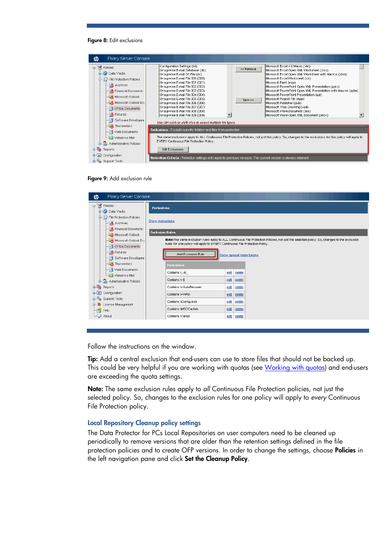#### Figure 8: Edit exclusions





| Policy Server Console<br><del></del>                     |                                                                                                                                                                                                                           |
|----------------------------------------------------------|---------------------------------------------------------------------------------------------------------------------------------------------------------------------------------------------------------------------------|
| 日图 Policies<br><b>Data Vaults</b>                        | <b>Exclusions</b>                                                                                                                                                                                                         |
| File Protection Policies<br>$\blacksquare$ Archives      | Show instructions                                                                                                                                                                                                         |
| Financial Documents<br>Microsoft Outlook                 | <b>Exclusion Rules</b>                                                                                                                                                                                                    |
| Microsoft Outlook Exp<br>Office Documents                | Note:The same exclusion rules apply to ALL Continuous File Protection Policies, not just the selected policy. So, changes to the exclusion<br>rules for one policy will apply to EVERY Continuous File Protection Policy. |
| $\blacksquare$ Pictures<br>- Software Developme          | Add Exclusion Rule<br>Show special folder tokens                                                                                                                                                                          |
| Thunderbird                                              | <b>Exclusions</b>                                                                                                                                                                                                         |
| --- a) Web Documents<br>Windows Mail                     | Contains \_vti_<br>edit<br>delete                                                                                                                                                                                         |
| Administrative Policies<br>由.                            | Contains \~\$<br>edit<br>delete                                                                                                                                                                                           |
| <b>DO</b><br>Reports                                     | Contains \~AutoRecover<br>edit<br>delete                                                                                                                                                                                  |
| <b>E</b> Configuration                                   | Contains \-\/\/RD<br>edit<br>delete                                                                                                                                                                                       |
| <b>El</b> Support Tools<br><b>E W</b> License Management | Contains \Config.msi\<br>edit<br>delete                                                                                                                                                                                   |
| -8<br>Help                                               | Contains \MSOCache\<br>edit<br>delete                                                                                                                                                                                     |
| $\cup$ About                                             | Contains \Temp\<br>edit<br>delete                                                                                                                                                                                         |
|                                                          |                                                                                                                                                                                                                           |

Follow the instructions on the window.

Tip: Add a central exclusion that end-users can use to store files that should not be backed up. This could be very helpful if you are working with quotas (see [Working with quotas\)](#page-12-0) and end-users are exceeding the quota settings.

Note: The same exclusion rules apply to *all* Continuous File Protection policies, not just the selected policy. So, changes to the exclusion rules for one policy will apply to *every* Continuous File Protection policy.

#### Local Repository Cleanup policy settings

The Data Protector for PCs Local Repositories on user computers need to be cleaned up periodically to remove versions that are older than the retention settings defined in the file protection policies and to create OFP versions. In order to change the settings, choose **Policies** in the left navigation pane and click Set the Cleanup Policy.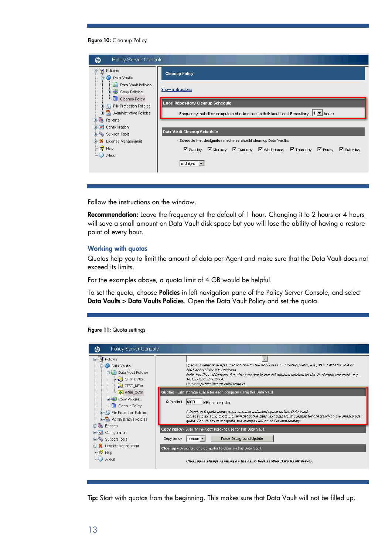#### Figure 10: Cleanup Policy

| Policy Server Console<br>ம                                |                                                                                                                                                                       |
|-----------------------------------------------------------|-----------------------------------------------------------------------------------------------------------------------------------------------------------------------|
| 日 図 Policies<br><b>Data Vaults</b>                        | <b>Cleanup Policy</b>                                                                                                                                                 |
| - Data Vault Policies<br>Copy Policies<br>$\Box$          | Show instructions                                                                                                                                                     |
| E Cleanup Policy<br><b>E</b> File Protection Policies     | <b>Local Repository Cleanup Schedule</b>                                                                                                                              |
| <b>El Sa</b> Administrative Policies<br><b>El Reports</b> | Frequency that client computers should clean up their local Local Repository: 1       hours                                                                           |
| <b>El- Configuration</b>                                  | Data Vault Cleanup Schedule                                                                                                                                           |
| <b>El Support Tools</b><br><b>国 党</b> License Management  | Schedule that designated machines should clean up Data Vaults:                                                                                                        |
| ├┈r <mark>シ</mark> Help                                   | $\overline{M}$ Sunday $\overline{M}$ Monday $\overline{M}$ Tuesday $\overline{M}$ Wednesday $\overline{M}$ Thursday $\overline{M}$ Friday<br>$\triangledown$ Saturday |
| $\Box$ About                                              | midnight <b>v</b>                                                                                                                                                     |

Follow the instructions on the window.

Recommendation: Leave the frequency at the default of 1 hour. Changing it to 2 hours or 4 hours will save a small amount on Data Vault disk space but you will lose the ability of having a restore point of every hour.

#### <span id="page-12-0"></span>Working with quotas

Quotas help you to limit the amount of data per Agent and make sure that the Data Vault does not exceed its limits.

For the examples above, a quota limit of 4 GB would be helpful.

To set the quota, choose **Policies** in left navigation pane of the Policy Server Console, and select Data Vaults > Data Vaults Policies. Open the Data Vault Policy and set the quota.



| Policy Server Console<br>岉                                                                                                                         |                                                                                                                                                                                                                                                                                                                                                                                              |
|----------------------------------------------------------------------------------------------------------------------------------------------------|----------------------------------------------------------------------------------------------------------------------------------------------------------------------------------------------------------------------------------------------------------------------------------------------------------------------------------------------------------------------------------------------|
| 日 図 Policies<br><b>Data Vaults</b><br>□ Data Vault Policies<br>$\Box$ CIFS DV02<br>$\blacksquare$ TEST_NEW                                         | Specify a network using CIDR notation for the IP address and routing prefix, e.g., 10.1.2.0/24 for IPv4 or<br>2001:db8:/32 for IPv6 address.<br>Note: For IPv4 addresses, it is also possible to use dot-decimal notation for the IP address and mask, e.g.,<br>10.1.2.0/255.255.255.0.<br>Use a separate line for each network.                                                             |
| <b>C</b> WEB DV01<br><b>El-B</b> Copy Policies<br><b>Entry Cleanup Policy</b><br>File Protection Policies<br><b>El Sol Administrative Policies</b> | Quotas - Limit storage space for each computer using this Data Vault.<br>4000<br>Quota limit<br>MB per computer<br>A blank or 0 quota allows each machine unlimited space on this Data Vault.<br>Increasing existing quota limit will get active after next Data Vault Cleanup for clients which are already over<br>quota. For clients under quota, the changes will be active immediately. |
| <b>El Reports</b><br><b>E</b> configuration<br><b>El Support Tools</b>                                                                             | Copy Policy - Specify the Copy Policy to use for this Data Vault.<br>Force Background Update<br>Copy policy<br>$ \text{Default}$ $\blacktriangledown$                                                                                                                                                                                                                                        |
| 国 9 License Management<br>≔r <mark>⊰</mark> / Help<br>$\bigcup$ About                                                                              | Cleanup - Designate one computer to clean up this Data Vault.                                                                                                                                                                                                                                                                                                                                |
|                                                                                                                                                    | Cleanup is always running on the same host as Web Data Vault Server.                                                                                                                                                                                                                                                                                                                         |

Tip: Start with quotas from the beginning. This makes sure that Data Vault will not be filled up.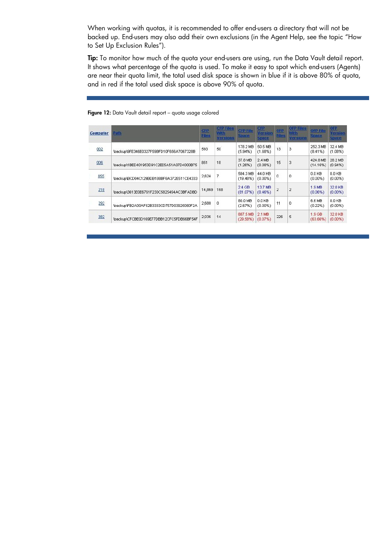When working with quotas, it is recommended to offer end-users a directory that will not be backed up. End-users may also add their own exclusions (in the Agent Help, see the topic "How to Set Up Exclusion Rules").

Tip: To monitor how much of the quota your end-users are using, run the Data Vault detail report. It shows what percentage of the quota is used. To make it easy to spot which end-users (Agents) are near their quota limit, the total used disk space is shown in blue if it is above 80% of quota, and in red if the total used disk space is above 90% of quota.

| <b>Computer</b> | Path                                                                                    | <b>CFP</b><br><b>Files</b> | <b>CFP Files</b><br><b>With</b><br>Versions | <b>CFP File</b><br><b>Space</b> | <b>CFP</b><br>Version<br><b>Space</b> | <b>OFP</b><br><b>Files</b> | <b>OFF Files</b><br>With<br><b>versions</b> | <b>OFP File</b><br><b>Space</b> | OFP<br>Version<br><b>Space</b> |
|-----------------|-----------------------------------------------------------------------------------------|----------------------------|---------------------------------------------|---------------------------------|---------------------------------------|----------------------------|---------------------------------------------|---------------------------------|--------------------------------|
| 002             | <b>Participants</b> in the American and the<br>\backup\9FE346E0327F59BFD10F656A7067328B | 593                        | 50                                          | 178.2 MB<br>(5.94%)             | 50.5 MB<br>$(1.68\%)$                 | 13                         | 3                                           | 252.3 MB<br>$(8.41\%)$          | 32.4 MB<br>(1.08%)             |
| 006             | Voackup\1BED401953D91C2EE5A51A07D4000B75                                                | 851                        | 18                                          | 37.8 MB<br>(1.26%)              | 2.4 MB<br>(0.08%)                     | 15                         | 3                                           | 424.8 MB<br>(14.16%)            | 28.2 MB<br>$(0.94\%)$          |
| 055             | VbackupVBCD04C129BDB188BF6A372E511CE4333                                                | 2,624                      | 7                                           | 584.3 MB<br>(19.48%)            | 44.0 KB<br>$(0.00\%)$                 | $\Omega$                   | 0                                           | $0.0K$ B<br>$(0.00\%)$          | $0.0K$ B<br>$(0.00\%)$         |
| 218             | Voackup/3613E0E6761F230C5825494AC3BFADBD                                                | 14,869                     | 168                                         | $2.4$ GB<br>(81.07%)            | 13.7 MB<br>(0.46%)                    | $\overline{2}$             | $\overline{2}$                              | 1.9 MB<br>(0.06%)               | 32.0 KB<br>$(0.00\%)$          |
| 292             | \backup\FB2A00AF52B3333CD757D03925080F2A                                                | 2,688                      | 0                                           | 80.0 MB<br>(2.67%)              | $0.0K$ B<br>$(0.00\%)$                | 11                         | $\theta$                                    | 6.6 MB<br>(0.22%)               | $0.0K$ B<br>$(0.00\%)$         |
| 382             | \backup\CFCBE0D169E77DBB12CFC5FDB66BF54F                                                | 2,036                      | 14                                          | 887.5 MB<br>(29.58%)            | 2.1 MB<br>(0.07%)                     | 226                        | 5                                           | $1.9$ GB<br>(63.66%)            | 32.0 KB<br>$(0.00\%)$          |

Figure 12: Data Vault detail report - quota usage colored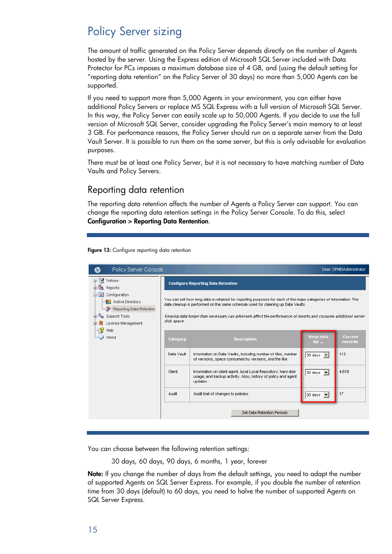# <span id="page-14-0"></span>Policy Server sizing

The amount of traffic generated on the Policy Server depends directly on the number of Agents hosted by the server. Using the Express edition of Microsoft SQL Server included with Data Protector for PCs imposes a maximum database size of 4 GB, and (using the default setting for "reporting data retention" on the Policy Server of 30 days) no more than 5,000 Agents can be supported.

If you need to support more than 5,000 Agents in your environment, you can either have additional Policy Servers or replace MS SQL Express with a full version of Microsoft SQL Server. In this way, the Policy Server can easily scale up to 50,000 Agents. If you decide to use the full version of Microsoft SQL Server, consider upgrading the Policy Server's main memory to at least 3 GB. For performance reasons, the Policy Server should run on a separate server from the Data Vault Server. It is possible to run them on the same server, but this is only advisable for evaluation purposes.

There must be at least one Policy Server, but it is not necessary to have matching number of Data Vaults and Policy Servers.

### <span id="page-14-1"></span>Reporting data retention

The reporting data retention affects the number of Agents a Policy Server can support. You can change the reporting data retention settings in the Policy Server Console. To do this, select Configuration > Reporting Data Rentention.

Figure 13: Configure reporting data retention

| Policy Server Console<br><del></del>                                                                               |                                                                                                                                                                                                                                                                                                                                          |                                                                                                                                             |                                  | User: DPNEVAdministrator |  |  |  |  |  |
|--------------------------------------------------------------------------------------------------------------------|------------------------------------------------------------------------------------------------------------------------------------------------------------------------------------------------------------------------------------------------------------------------------------------------------------------------------------------|---------------------------------------------------------------------------------------------------------------------------------------------|----------------------------------|--------------------------|--|--|--|--|--|
| <b>□ 図 Policies</b><br><b>ED</b> Reports                                                                           |                                                                                                                                                                                                                                                                                                                                          | <b>Configure Reporting Data Retention</b>                                                                                                   |                                  |                          |  |  |  |  |  |
| G & Configuration<br><b>OR</b> Active Directory<br>Reporting Data Retention<br>Support Tools<br>License Management | You can set how long data is retained for reporting purposes for each of the major categories of information. The<br>data cleanup is performed on the same schedule used for cleaning up Data Vaults.<br>Keeping data longer than necessary can adversely affect the performance of reports and consume additional server<br>disk space. |                                                                                                                                             |                                  |                          |  |  |  |  |  |
| Help<br>About                                                                                                      | Category                                                                                                                                                                                                                                                                                                                                 | Keep data<br><b>Current</b><br><b>Description</b><br>records<br>for $\ldots$                                                                |                                  |                          |  |  |  |  |  |
|                                                                                                                    | Data Vault                                                                                                                                                                                                                                                                                                                               | Information on Data Vaults, including number of files, number<br>of versions, space consumed by versions, and the like.                     | 30 days $\overline{\phantom{a}}$ | 113                      |  |  |  |  |  |
|                                                                                                                    | Client                                                                                                                                                                                                                                                                                                                                   | Information on client agent, local Local Repository, hard disk<br>usage, and backup activity. Also, history of policy and agent<br>updates. | 30 days                          | 4,618                    |  |  |  |  |  |
|                                                                                                                    | Audit                                                                                                                                                                                                                                                                                                                                    | Audit trail of changes to policies.                                                                                                         | 30 days $\blacktriangledown$     | 17                       |  |  |  |  |  |
|                                                                                                                    |                                                                                                                                                                                                                                                                                                                                          | Set Data Retention Periods                                                                                                                  |                                  |                          |  |  |  |  |  |
|                                                                                                                    |                                                                                                                                                                                                                                                                                                                                          |                                                                                                                                             |                                  |                          |  |  |  |  |  |

You can choose between the following retention settings:

30 days, 60 days, 90 days, 6 months, 1 year, forever

Note: If you change the number of days from the default settings, you need to adapt the number of supported Agents on SQL Server Express. For example, if you double the number of retention time from 30 days (default) to 60 days, you need to halve the number of supported Agents on SQL Server Express.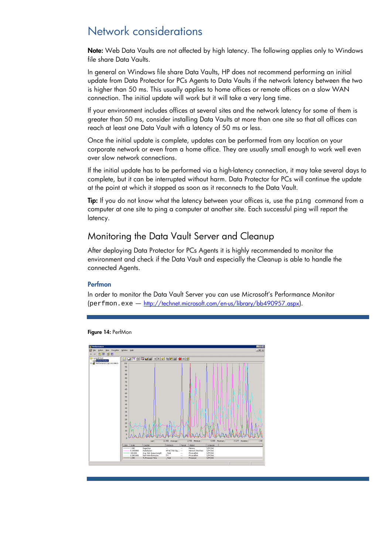# <span id="page-15-0"></span>Network considerations

Note: Web Data Vaults are not affected by high latency. The following applies only to Windows file share Data Vaults.

In general on Windows file share Data Vaults, HP does not recommend performing an initial update from Data Protector for PCs Agents to Data Vaults if the network latency between the two is higher than 50 ms. This usually applies to home offices or remote offices on a slow WAN connection. The initial update will work but it will take a very long time.

If your environment includes offices at several sites and the network latency for some of them is greater than 50 ms, consider installing Data Vaults at more than one site so that all offices can reach at least one Data Vault with a latency of 50 ms or less.

Once the initial update is complete, updates can be performed from any location on your corporate network or even from a home office. They are usually small enough to work well even over slow network connections.

If the initial update has to be performed via a high-latency connection, it may take several days to complete, but it can be interrupted without harm. Data Protector for PCs will continue the update at the point at which it stopped as soon as it reconnects to the Data Vault.

Tip: If you do not know what the latency between your offices is, use the ping command from a computer at one site to ping a computer at another site. Each successful ping will report the latency.

### <span id="page-15-1"></span>Monitoring the Data Vault Server and Cleanup

After deploying Data Protector for PCs Agents it is highly recommended to monitor the environment and check if the Data Vault and especially the Cleanup is able to handle the connected Agents.

#### Perfmon

In order to monitor the Data Vault Server you can use Microsoft's Performance Monitor (perfmon.exe — [http://technet.microsoft.com/en-us/library/bb490957.aspx\)](http://technet.microsoft.com/en-us/library/bb490957.aspx).



Figure 14: PerfMon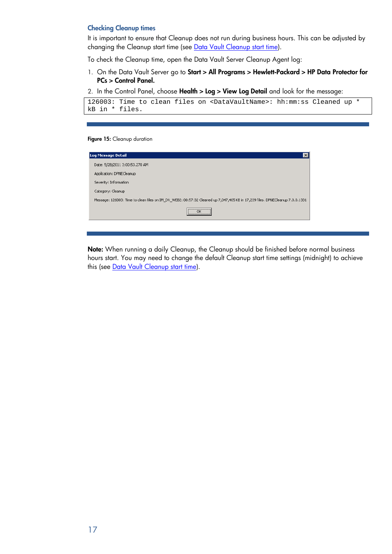#### Checking Cleanup times

It is important to ensure that Cleanup does not run during business hours. This can be adjusted by changing the Cleanup start time (see [Data Vault Cleanup start time\)](#page-17-2).

To check the Cleanup time, open the Data Vault Server Cleanup Agent log:

1. On the Data Vault Server go to Start > All Programs > Hewlett-Packard > HP Data Protector for PCs > Control Panel.

2. In the Control Panel, choose Health > Log > View Log Detail and look for the message:

```
126003: Time to clean files on <DataVaultName>: hh:mm:ss Cleaned up * 
kB in * files.
```
Figure 15: Cleanup duration

| Log Message Detail                                                                                                           |
|------------------------------------------------------------------------------------------------------------------------------|
| Date: 5/28/2011 3:00:53.270 AM                                                                                               |
| Application: DPNECleanup                                                                                                     |
| Severity: Information                                                                                                        |
| Category: Cleanup                                                                                                            |
| Message: 126003: Time to clean files on IM_DV_WEB2: 00:57:32 Cleaned up 7,047,405 KB in 17,239 files. DPNECleanup 7.0.0.1331 |
| <br>ΩK<br>                                                                                                                   |

Note: When running a daily Cleanup, the Cleanup should be finished before normal business hours start. You may need to change the default Cleanup start time settings (midnight) to achieve this (see [Data Vault Cleanup start time\)](#page-17-2).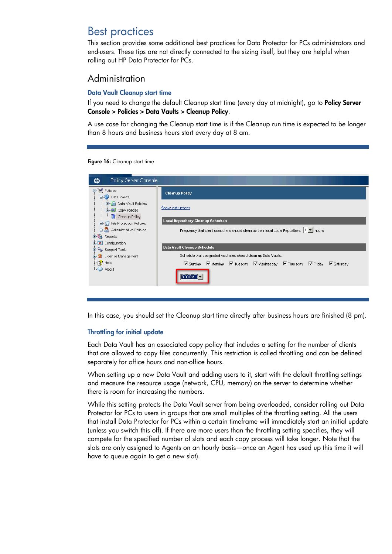## <span id="page-17-0"></span>Best practices

This section provides some additional best practices for Data Protector for PCs administrators and end-users. These tips are not directly connected to the sizing itself, but they are helpful when rolling out HP Data Protector for PCs.

### <span id="page-17-1"></span>Administration

#### <span id="page-17-2"></span>Data Vault Cleanup start time

If you need to change the default Cleanup start time (every day at midnight), go to Policy Server Console > Policies > Data Vaults > Cleanup Policy.

A use case for changing the Cleanup start time is if the Cleanup run time is expected to be longer than 8 hours and business hours start every day at 8 am.

Figure 16: Cleanup start time

In this case, you should set the Cleanup start time directly after business hours are finished (8 pm).

### Throttling for initial update

Each Data Vault has an associated copy policy that includes a setting for the number of clients that are allowed to copy files concurrently. This restriction is called throttling and can be defined separately for office hours and non-office hours.

When setting up a new Data Vault and adding users to it, start with the default throttling settings and measure the resource usage (network, CPU, memory) on the server to determine whether there is room for increasing the numbers.

While this setting protects the Data Vault server from being overloaded, consider rolling out Data Protector for PCs to users in groups that are small multiples of the throttling setting. All the users that install Data Protector for PCs within a certain timeframe will immediately start an initial update (unless you switch this off). If there are more users than the throttling setting specifies, they will compete for the specified number of slots and each copy process will take longer. Note that the slots are only assigned to Agents on an hourly basis—once an Agent has used up this time it will have to queue again to get a new slot).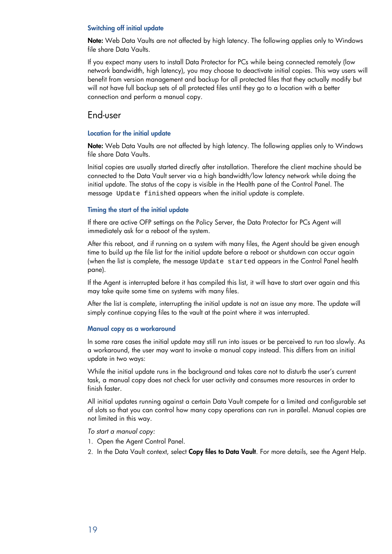#### Switching off initial update

Note: Web Data Vaults are not affected by high latency. The following applies only to Windows file share Data Vaults.

If you expect many users to install Data Protector for PCs while being connected remotely (low network bandwidth, high latency), you may choose to deactivate initial copies. This way users will benefit from version management and backup for all protected files that they actually modify but will not have full backup sets of all protected files until they go to a location with a better connection and perform a manual copy.

### <span id="page-18-0"></span>End-user

#### Location for the initial update

Note: Web Data Vaults are not affected by high latency. The following applies only to Windows file share Data Vaults.

Initial copies are usually started directly after installation. Therefore the client machine should be connected to the Data Vault server via a high bandwidth/low latency network while doing the initial update. The status of the copy is visible in the Health pane of the Control Panel. The message Update finished appears when the initial update is complete.

#### Timing the start of the initial update

If there are active OFP settings on the Policy Server, the Data Protector for PCs Agent will immediately ask for a reboot of the system.

After this reboot, and if running on a system with many files, the Agent should be given enough time to build up the file list for the initial update before a reboot or shutdown can occur again (when the list is complete, the message Update started appears in the Control Panel health pane).

If the Agent is interrupted before it has compiled this list, it will have to start over again and this may take quite some time on systems with many files.

After the list is complete, interrupting the initial update is not an issue any more. The update will simply continue copying files to the vault at the point where it was interrupted.

#### Manual copy as a workaround

In some rare cases the initial update may still run into issues or be perceived to run too slowly. As a workaround, the user may want to invoke a manual copy instead. This differs from an initial update in two ways:

While the initial update runs in the background and takes care not to disturb the user's current task, a manual copy does not check for user activity and consumes more resources in order to finish faster.

All initial updates running against a certain Data Vault compete for a limited and configurable set of slots so that you can control how many copy operations can run in parallel. Manual copies are not limited in this way.

*To start a manual copy:*

- 1. Open the Agent Control Panel.
- 2. In the Data Vault context, select Copy files to Data Vault. For more details, see the Agent Help.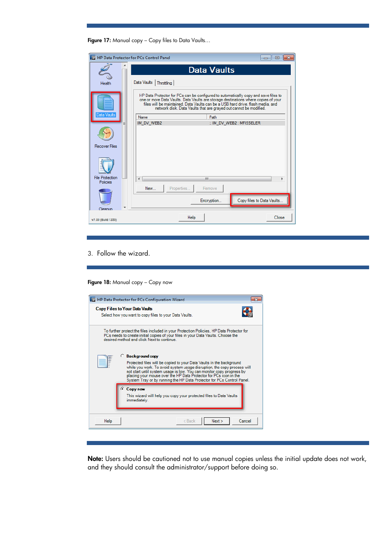Figure 17: Manual copy – Copy files to Data Vaults...

|                                           | <b>Im</b> HP Data Protector for PCs Control Panel<br>回<br>$\Box$                                                                                                                                                                                                                                                                  | 23 |  |  |
|-------------------------------------------|-----------------------------------------------------------------------------------------------------------------------------------------------------------------------------------------------------------------------------------------------------------------------------------------------------------------------------------|----|--|--|
|                                           | <b>Data Vaults</b>                                                                                                                                                                                                                                                                                                                |    |  |  |
| Health                                    | Data Vaults<br><b>Throttling</b>                                                                                                                                                                                                                                                                                                  |    |  |  |
|                                           | HP Data Protector for PCs can be configured to automatically copy and save files to<br>one or more Data Vaults. Data Vaults are storage destinations where copies of your<br>files will be maintained. Data Vaults can be a USB hard drive, flash media, and<br>network disk. Data Vaults that are grayed out cannot be modified. |    |  |  |
| Data Vaults                               | Path<br>Name                                                                                                                                                                                                                                                                                                                      |    |  |  |
| Ξ                                         | IM DV WEB2<br>:: IM DV WEB2 : MFISSELER                                                                                                                                                                                                                                                                                           |    |  |  |
| <b>Recover Files</b>                      |                                                                                                                                                                                                                                                                                                                                   |    |  |  |
|                                           |                                                                                                                                                                                                                                                                                                                                   |    |  |  |
| <b>File Protection</b><br><b>Policies</b> | Ш                                                                                                                                                                                                                                                                                                                                 |    |  |  |
|                                           | New<br>Properties<br>Remove                                                                                                                                                                                                                                                                                                       |    |  |  |
|                                           | Copy files to Data Vaults<br>Encryption                                                                                                                                                                                                                                                                                           |    |  |  |
| Cleanun<br>v7.00 (Build 1355)             | Help<br>Close                                                                                                                                                                                                                                                                                                                     |    |  |  |

3. Follow the wizard.

Figure 18: Manual copy - Copy now

|                                                                                                                                                                                                                                                                                                                                                                                                         | <b>ID HP Data Protector for PCs Configuration Wizard</b>                                              |  |  |  |  |
|---------------------------------------------------------------------------------------------------------------------------------------------------------------------------------------------------------------------------------------------------------------------------------------------------------------------------------------------------------------------------------------------------------|-------------------------------------------------------------------------------------------------------|--|--|--|--|
|                                                                                                                                                                                                                                                                                                                                                                                                         | <b>Copy Files to Your Data Vaults</b><br>Select how you want to copy files to your Data Vaults.       |  |  |  |  |
| To further protect the files included in your Protection Policies, HP Data Protector for<br>PCs needs to create initial copies of your files in your Data Vaults. Choose the<br>desired method and click Next to continue.                                                                                                                                                                              |                                                                                                       |  |  |  |  |
| <b>Background copy</b><br>O.<br>Protected files will be copied to your Data Vaults in the background<br>while you work. To avoid system usage disruption, the copy process will<br>not start until system usage is low. You can monitor copy progress by<br>placing your mouse over the HP Data Protector for PCs icon in the<br>System Tray or by running the HP Data Protector for PCs Control Panel. |                                                                                                       |  |  |  |  |
|                                                                                                                                                                                                                                                                                                                                                                                                         | <b>Copy now</b><br>This wizard will help you copy your protected files to Data Vaults<br>immediately. |  |  |  |  |
| Help                                                                                                                                                                                                                                                                                                                                                                                                    | Next<br>Cancel<br>$Back$                                                                              |  |  |  |  |

Note: Users should be cautioned not to use manual copies unless the initial update does not work, and they should consult the administrator/support before doing so.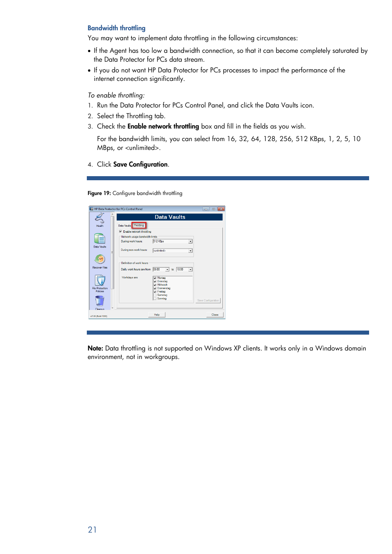#### Bandwidth throttling

You may want to implement data throttling in the following circumstances:

- If the Agent has too low a bandwidth connection, so that it can become completely saturated by the Data Protector for PCs data stream.
- If you do not want HP Data Protector for PCs processes to impact the performance of the internet connection significantly.

*To enable throttling:*

- 1. Run the Data Protector for PCs Control Panel, and click the Data Vaults icon.
- 2. Select the Throttling tab.
- 3. Check the Enable network throttling box and fill in the fields as you wish.

For the bandwidth limits, you can select from 16, 32, 64, 128, 256, 512 KBps, 1, 2, 5, 10 MBps, or <unlimited>.

4. Click Save Configuration.

Figure 19: Configure bandwidth throttling

|                                    | <b>Im HP Data Protector for PCs Control Panel</b>                                                                    | $\begin{array}{c c c c c c} \hline \multicolumn{3}{c }{\mathbf{C}} & \multicolumn{3}{c }{\mathbf{C}} & \multicolumn{3}{c }{\mathbf{X}} \\\hline \multicolumn{3}{c }{\mathbf{C}} & \multicolumn{3}{c }{\mathbf{C}} & \multicolumn{3}{c }{\mathbf{S}} & \multicolumn{3}{c }{\mathbf{X}} \\\hline \multicolumn{3}{c }{\mathbf{C}} & \multicolumn{3}{c }{\mathbf{C}} & \multicolumn{3}{c }{\mathbf{S}} & \multicolumn{3}{c }{\mathbf{S}} \\\hline \multicolumn$ |
|------------------------------------|----------------------------------------------------------------------------------------------------------------------|-------------------------------------------------------------------------------------------------------------------------------------------------------------------------------------------------------------------------------------------------------------------------------------------------------------------------------------------------------------------------------------------------------------------------------------------------------------|
|                                    | <b>Data Vaults</b>                                                                                                   |                                                                                                                                                                                                                                                                                                                                                                                                                                                             |
| Health                             | Data Vaults Throttling                                                                                               |                                                                                                                                                                                                                                                                                                                                                                                                                                                             |
|                                    | $\overline{\nabla}$ Enable network throttling                                                                        |                                                                                                                                                                                                                                                                                                                                                                                                                                                             |
|                                    | Network usage bandwidth limits                                                                                       |                                                                                                                                                                                                                                                                                                                                                                                                                                                             |
|                                    | 512 KBps<br>During work hours:<br>۰                                                                                  |                                                                                                                                                                                                                                                                                                                                                                                                                                                             |
| Data Vaults<br>Ξ                   | During non-work hours:<br>a inlimited><br>۰                                                                          |                                                                                                                                                                                                                                                                                                                                                                                                                                                             |
| <b>Recover Files</b>               | Definition of work hours<br>08:00<br>18:00<br>Daily work hours are from<br>to<br>$\overline{\phantom{a}}$<br>$\cdot$ |                                                                                                                                                                                                                                                                                                                                                                                                                                                             |
|                                    | Workdays are<br>Montag<br>Dienstag<br>Mittwoch<br>◡                                                                  |                                                                                                                                                                                                                                                                                                                                                                                                                                                             |
| <b>File Protection</b><br>Policies | Donnerstag<br><b>Freitag</b><br>Samstag<br>Sonntag                                                                   | Save Configuration                                                                                                                                                                                                                                                                                                                                                                                                                                          |
| Cleanup                            |                                                                                                                      |                                                                                                                                                                                                                                                                                                                                                                                                                                                             |
| v7.00 (Build 1355)                 | Help                                                                                                                 | Close                                                                                                                                                                                                                                                                                                                                                                                                                                                       |

Note: Data throttling is not supported on Windows XP clients. It works only in a Windows domain environment, not in workgroups.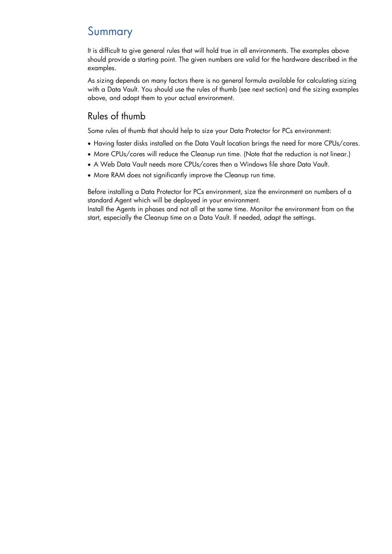## <span id="page-21-0"></span>Summary

It is difficult to give general rules that will hold true in all environments. The examples above should provide a starting point. The given numbers are valid for the hardware described in the examples.

As sizing depends on many factors there is no general formula available for calculating sizing with a Data Vault. You should use the rules of thumb (see next section) and the sizing examples above, and adapt them to your actual environment.

## <span id="page-21-1"></span>Rules of thumb

Some rules of thumb that should help to size your Data Protector for PCs environment:

- Having faster disks installed on the Data Vault location brings the need for more CPUs/cores.
- More CPUs/cores will reduce the Cleanup run time. (Note that the reduction is not linear.)
- A Web Data Vault needs more CPUs/cores then a Windows file share Data Vault.
- More RAM does not significantly improve the Cleanup run time.

Before installing a Data Protector for PCs environment, size the environment on numbers of a standard Agent which will be deployed in your environment.

Install the Agents in phases and not all at the same time. Monitor the environment from on the start, especially the Cleanup time on a Data Vault. If needed, adapt the settings.